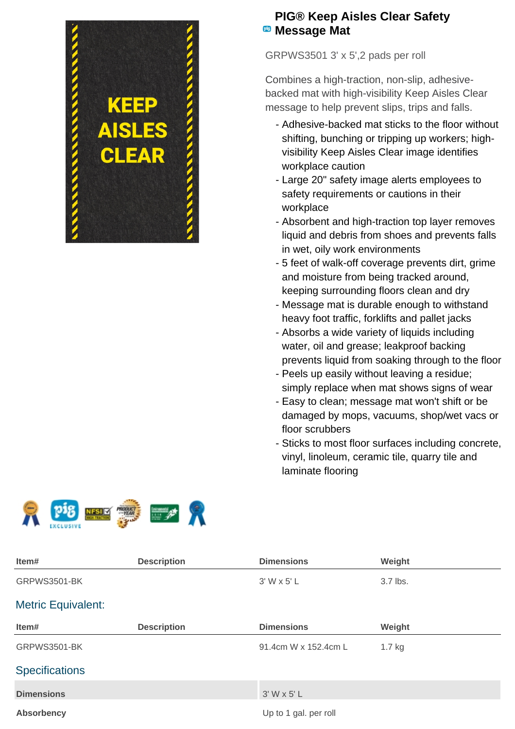

## **PIG® Keep Aisles Clear Safety Message Mat**

GRPWS3501 3' x 5',2 pads per roll

Combines a high-traction, non-slip, adhesivebacked mat with high-visibility Keep Aisles Clear message to help prevent slips, trips and falls.

- Adhesive-backed mat sticks to the floor without shifting, bunching or tripping up workers; highvisibility Keep Aisles Clear image identifies workplace caution
- Large 20" safety image alerts employees to safety requirements or cautions in their workplace
- Absorbent and high-traction top layer removes liquid and debris from shoes and prevents falls in wet, oily work environments
- 5 feet of walk-off coverage prevents dirt, grime and moisture from being tracked around, keeping surrounding floors clean and dry
- Message mat is durable enough to withstand heavy foot traffic, forklifts and pallet jacks
- Absorbs a wide variety of liquids including water, oil and grease; leakproof backing prevents liquid from soaking through to the floor
- Peels up easily without leaving a residue; simply replace when mat shows signs of wear
- Easy to clean; message mat won't shift or be damaged by mops, vacuums, shop/wet vacs or floor scrubbers
- Sticks to most floor surfaces including concrete, vinyl, linoleum, ceramic tile, quarry tile and laminate flooring



| Item#                     | <b>Description</b> | <b>Dimensions</b>     | Weight   |  |
|---------------------------|--------------------|-----------------------|----------|--|
| GRPWS3501-BK              |                    | 3' W x 5' L           | 3.7 lbs. |  |
| <b>Metric Equivalent:</b> |                    |                       |          |  |
| Item#                     | <b>Description</b> | <b>Dimensions</b>     | Weight   |  |
| <b>GRPWS3501-BK</b>       |                    | 91.4cm W x 152.4cm L  | $1.7$ kg |  |
| <b>Specifications</b>     |                    |                       |          |  |
| <b>Dimensions</b>         |                    | $3'$ W x 5' L         |          |  |
| <b>Absorbency</b>         |                    | Up to 1 gal. per roll |          |  |